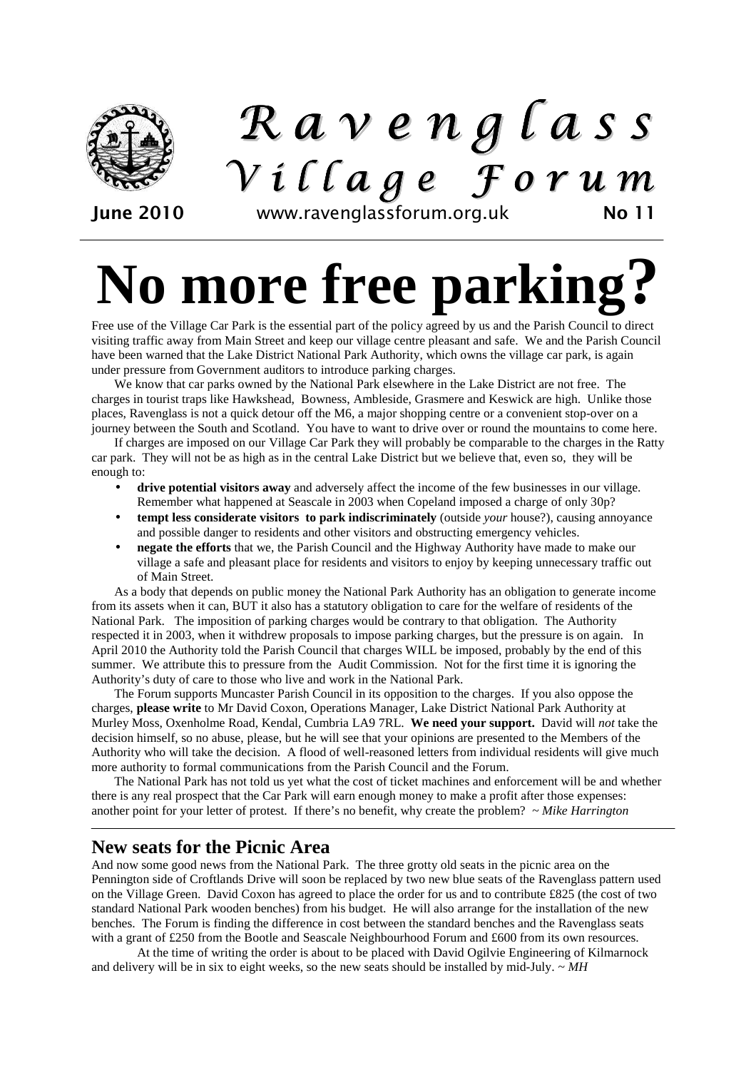

## R a v e n g l a s s  $V$  i l l a g e  $\overline{f}$  or u m

June 2010 www.ravenglassforum.org.uk No 11

# **No more free parking?**

Free use of the Village Car Park is the essential part of the policy agreed by us and the Parish Council to direct visiting traffic away from Main Street and keep our village centre pleasant and safe. We and the Parish Council have been warned that the Lake District National Park Authority, which owns the village car park, is again under pressure from Government auditors to introduce parking charges.

We know that car parks owned by the National Park elsewhere in the Lake District are not free. The charges in tourist traps like Hawkshead, Bowness, Ambleside, Grasmere and Keswick are high. Unlike those places, Ravenglass is not a quick detour off the M6, a major shopping centre or a convenient stop-over on a journey between the South and Scotland. You have to want to drive over or round the mountains to come here.

If charges are imposed on our Village Car Park they will probably be comparable to the charges in the Ratty car park. They will not be as high as in the central Lake District but we believe that, even so, they will be enough to:

- **drive potential visitors away** and adversely affect the income of the few businesses in our village. Remember what happened at Seascale in 2003 when Copeland imposed a charge of only 30p?
- **tempt less considerate visitors to park indiscriminately** (outside *your* house?), causing annoyance and possible danger to residents and other visitors and obstructing emergency vehicles.
- **negate the efforts** that we, the Parish Council and the Highway Authority have made to make our village a safe and pleasant place for residents and visitors to enjoy by keeping unnecessary traffic out of Main Street.

As a body that depends on public money the National Park Authority has an obligation to generate income from its assets when it can, BUT it also has a statutory obligation to care for the welfare of residents of the National Park. The imposition of parking charges would be contrary to that obligation. The Authority respected it in 2003, when it withdrew proposals to impose parking charges, but the pressure is on again. In April 2010 the Authority told the Parish Council that charges WILL be imposed, probably by the end of this summer. We attribute this to pressure from the Audit Commission. Not for the first time it is ignoring the Authority's duty of care to those who live and work in the National Park.

The Forum supports Muncaster Parish Council in its opposition to the charges. If you also oppose the charges, **please write** to Mr David Coxon, Operations Manager, Lake District National Park Authority at Murley Moss, Oxenholme Road, Kendal, Cumbria LA9 7RL. **We need your support.** David will *not* take the decision himself, so no abuse, please, but he will see that your opinions are presented to the Members of the Authority who will take the decision. A flood of well-reasoned letters from individual residents will give much more authority to formal communications from the Parish Council and the Forum.

The National Park has not told us yet what the cost of ticket machines and enforcement will be and whether there is any real prospect that the Car Park will earn enough money to make a profit after those expenses: another point for your letter of protest. If there's no benefit, why create the problem? *~ Mike Harrington* 

## **New seats for the Picnic Area**

And now some good news from the National Park. The three grotty old seats in the picnic area on the Pennington side of Croftlands Drive will soon be replaced by two new blue seats of the Ravenglass pattern used on the Village Green. David Coxon has agreed to place the order for us and to contribute £825 (the cost of two standard National Park wooden benches) from his budget. He will also arrange for the installation of the new benches. The Forum is finding the difference in cost between the standard benches and the Ravenglass seats with a grant of £250 from the Bootle and Seascale Neighbourhood Forum and £600 from its own resources.

 At the time of writing the order is about to be placed with David Ogilvie Engineering of Kilmarnock and delivery will be in six to eight weeks, so the new seats should be installed by mid-July. *~ MH*